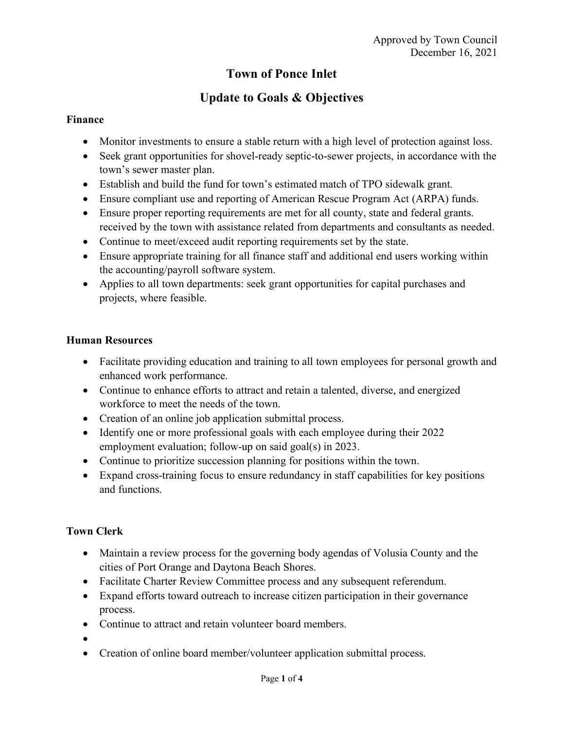## **Town of Ponce Inlet**

# **Update to Goals & Objectives**

#### **Finance**

- Monitor investments to ensure a stable return with a high level of protection against loss.
- Seek grant opportunities for shovel-ready septic-to-sewer projects, in accordance with the town's sewer master plan.
- Establish and build the fund for town's estimated match of TPO sidewalk grant.
- Ensure compliant use and reporting of American Rescue Program Act (ARPA) funds.
- Ensure proper reporting requirements are met for all county, state and federal grants. received by the town with assistance related from departments and consultants as needed.
- Continue to meet/exceed audit reporting requirements set by the state.
- Ensure appropriate training for all finance staff and additional end users working within the accounting/payroll software system.
- Applies to all town departments: seek grant opportunities for capital purchases and projects, where feasible.

### **Human Resources**

- Facilitate providing education and training to all town employees for personal growth and enhanced work performance.
- Continue to enhance efforts to attract and retain a talented, diverse, and energized workforce to meet the needs of the town.
- Creation of an online job application submittal process.
- Identify one or more professional goals with each employee during their 2022 employment evaluation; follow-up on said goal(s) in 2023.
- Continue to prioritize succession planning for positions within the town.
- Expand cross-training focus to ensure redundancy in staff capabilities for key positions and functions.

## **Town Clerk**

- Maintain a review process for the governing body agendas of Volusia County and the cities of Port Orange and Daytona Beach Shores.
- Facilitate Charter Review Committee process and any subsequent referendum.
- Expand efforts toward outreach to increase citizen participation in their governance process.
- Continue to attract and retain volunteer board members.
- •
- Creation of online board member/volunteer application submittal process.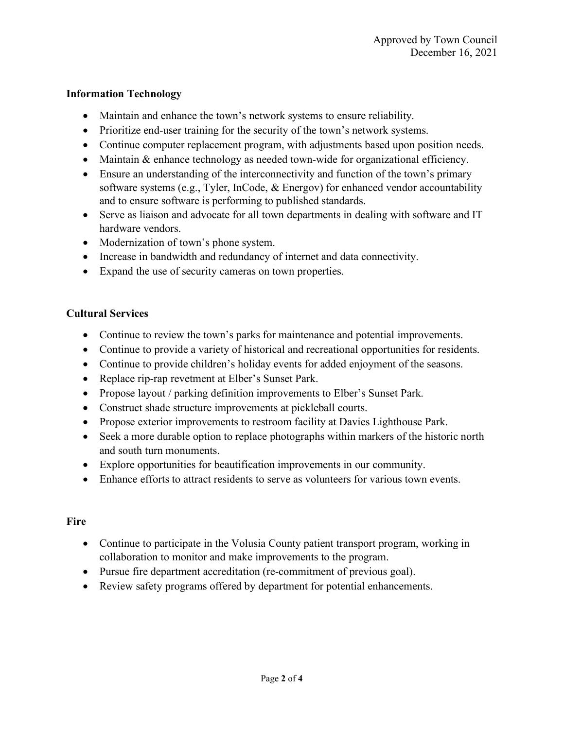#### **Information Technology**

- Maintain and enhance the town's network systems to ensure reliability.
- Prioritize end-user training for the security of the town's network systems.
- Continue computer replacement program, with adjustments based upon position needs.
- Maintain & enhance technology as needed town-wide for organizational efficiency.
- Ensure an understanding of the interconnectivity and function of the town's primary software systems (e.g., Tyler, InCode, & Energov) for enhanced vendor accountability and to ensure software is performing to published standards.
- Serve as liaison and advocate for all town departments in dealing with software and IT hardware vendors.
- Modernization of town's phone system.
- Increase in bandwidth and redundancy of internet and data connectivity.
- Expand the use of security cameras on town properties.

#### **Cultural Services**

- Continue to review the town's parks for maintenance and potential improvements.
- Continue to provide a variety of historical and recreational opportunities for residents.
- Continue to provide children's holiday events for added enjoyment of the seasons.
- Replace rip-rap revetment at Elber's Sunset Park.
- Propose layout / parking definition improvements to Elber's Sunset Park.
- Construct shade structure improvements at pickleball courts.
- Propose exterior improvements to restroom facility at Davies Lighthouse Park.
- Seek a more durable option to replace photographs within markers of the historic north and south turn monuments.
- Explore opportunities for beautification improvements in our community.
- Enhance efforts to attract residents to serve as volunteers for various town events.

## **Fire**

- Continue to participate in the Volusia County patient transport program, working in collaboration to monitor and make improvements to the program.
- Pursue fire department accreditation (re-commitment of previous goal).
- Review safety programs offered by department for potential enhancements.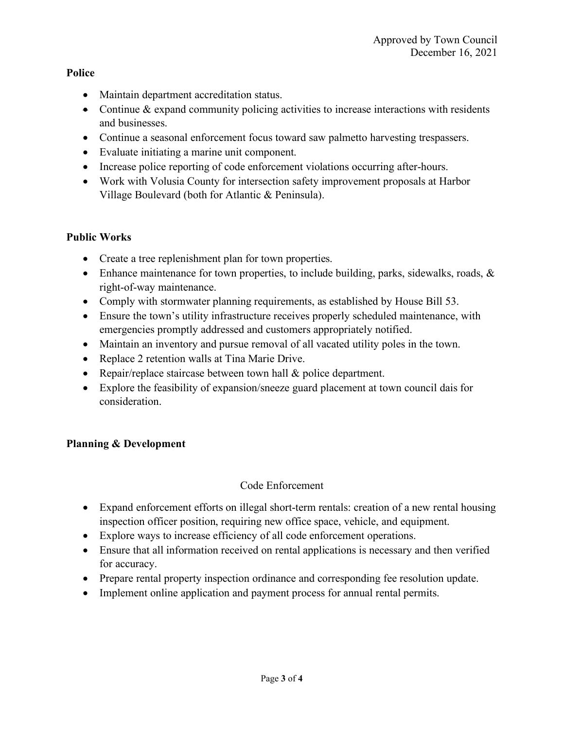**Police**

- Maintain department accreditation status.
- Continue  $&$  expand community policing activities to increase interactions with residents and businesses.
- Continue a seasonal enforcement focus toward saw palmetto harvesting trespassers.
- Evaluate initiating a marine unit component.
- Increase police reporting of code enforcement violations occurring after-hours.
- Work with Volusia County for intersection safety improvement proposals at Harbor Village Boulevard (both for Atlantic & Peninsula).

#### **Public Works**

- Create a tree replenishment plan for town properties.
- Enhance maintenance for town properties, to include building, parks, sidewalks, roads, & right-of-way maintenance.
- Comply with stormwater planning requirements, as established by House Bill 53.
- Ensure the town's utility infrastructure receives properly scheduled maintenance, with emergencies promptly addressed and customers appropriately notified.
- Maintain an inventory and pursue removal of all vacated utility poles in the town.
- Replace 2 retention walls at Tina Marie Drive.
- Repair/replace staircase between town hall & police department.
- Explore the feasibility of expansion/sneeze guard placement at town council dais for consideration.

## **Planning & Development**

#### Code Enforcement

- Expand enforcement efforts on illegal short-term rentals: creation of a new rental housing inspection officer position, requiring new office space, vehicle, and equipment.
- Explore ways to increase efficiency of all code enforcement operations.
- Ensure that all information received on rental applications is necessary and then verified for accuracy.
- Prepare rental property inspection ordinance and corresponding fee resolution update.
- Implement online application and payment process for annual rental permits.